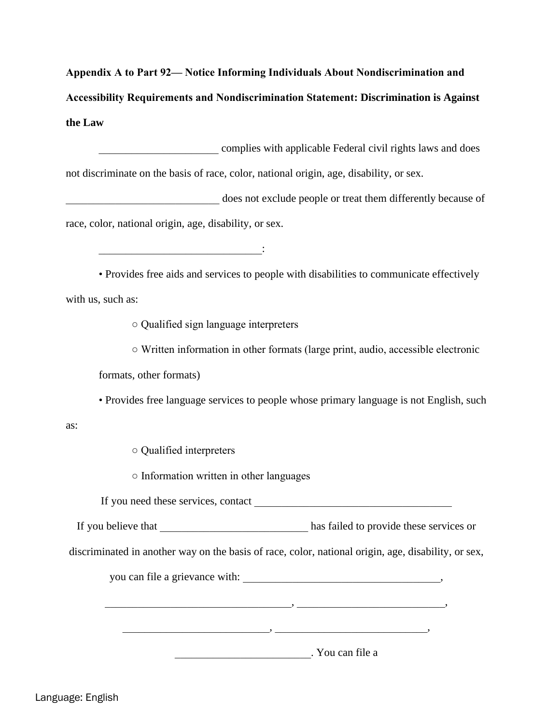**Appendix A to Part 92— Notice Informing Individuals About Nondiscrimination and Accessibility Requirements and Nondiscrimination Statement: Discrimination is Against the Law** 

\_\_\_\_\_\_\_\_\_\_\_\_\_\_\_\_\_\_\_\_\_\_ complies with applicable Federal civil rights laws and does not discriminate on the basis of race, color, national origin, age, disability, or sex. does not exclude people or treat them differently because of race, color, national origin, age, disability, or sex.  $\mathcal{L}_\text{max}$  and  $\mathcal{L}_\text{max}$  and  $\mathcal{L}_\text{max}$  and  $\mathcal{L}_\text{max}$ • Provides free aids and services to people with disabilities to communicate effectively with us, such as: ○ Qualified sign language interpreters ○ Written information in other formats (large print, audio, accessible electronic formats, other formats) • Provides free language services to people whose primary language is not English, such as: ○ Qualified interpreters ○ Information written in other languages If you need these services, contact If you believe that has failed to provide these services or discriminated in another way on the basis of race, color, national origin, age, disability, or sex, you can file a grievance with:  $\qquad \qquad$ , \_\_\_\_\_\_\_\_\_\_\_\_\_\_\_\_\_\_\_\_\_\_\_\_\_\_\_\_\_\_\_\_\_\_, \_\_\_\_\_\_\_\_\_\_\_\_\_\_\_\_\_\_\_\_\_\_\_\_\_\_\_,

\_\_\_\_\_\_\_\_\_\_\_\_\_\_\_\_\_\_\_\_\_\_\_\_\_. You can file a

\_\_\_\_\_\_\_\_\_\_\_\_\_\_\_\_\_\_\_\_\_\_\_\_\_\_\_, \_\_\_\_\_\_\_\_\_\_\_\_\_\_\_\_\_\_\_\_\_\_\_\_\_\_\_\_,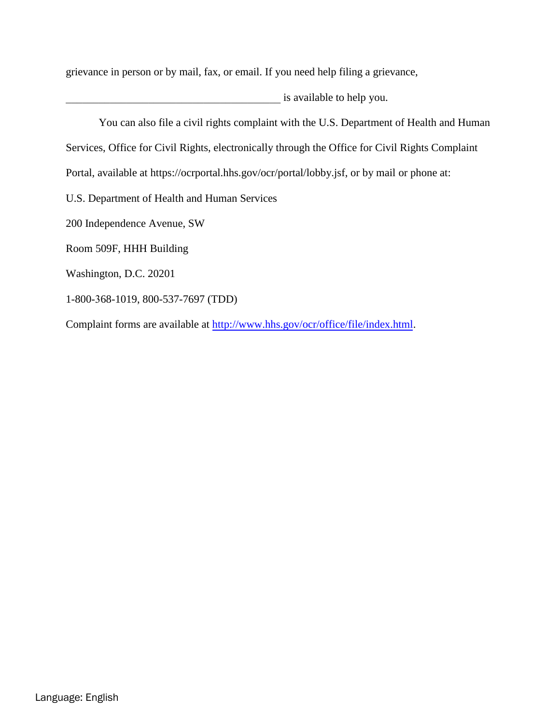grievance in person or by mail, fax, or email. If you need help filing a grievance,

is available to help you.

You can also file a civil rights complaint with the U.S. Department of Health and Human Services, Office for Civil Rights, electronically through the Office for Civil Rights Complaint Portal, available at https://ocrportal.hhs.gov/ocr/portal/lobby.jsf, or by mail or phone at: U.S. Department of Health and Human Services 200 Independence Avenue, SW Room 509F, HHH Building Washington, D.C. 20201 1-800-368-1019, 800-537-7697 (TDD) Complaint forms are available at [http://www.hhs.gov/ocr/office/file/index.html.](http://www.hhs.gov/ocr/office/file/index.html)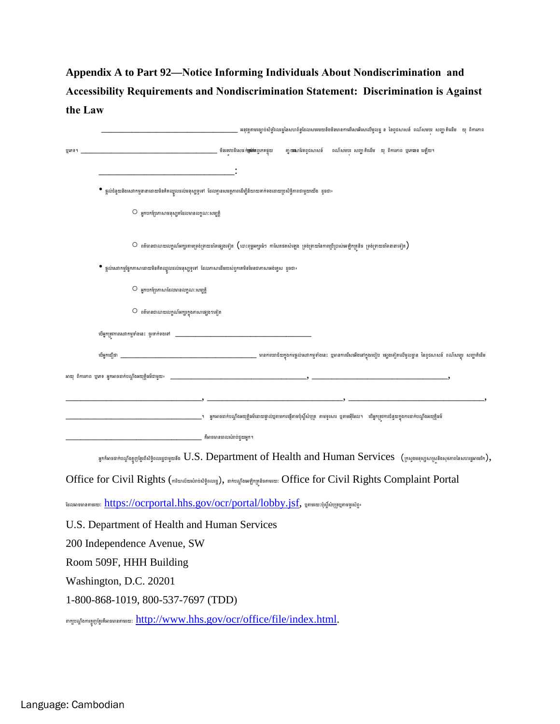## Appendix A to Part 92-Notice Informing Individuals About Nondiscrimination and Accessibility Requirements and Nondiscrimination Statement: Discrimination is Against the Law

|                                                                                                                      |                                                                                                                                                        |  | អនុវត្តតាមច្បាប់សិទ្ធិពលរដ្ឋនៃសហព័ន្ធដែលសមរមយនិងមិនមានការរើសេរើរសលើមូលដ្ឋ ន នៃពូជសាសន៍ ពណ៌សមបរ សញ្ជាតិជើម   យុ ពិការភាព                        |
|----------------------------------------------------------------------------------------------------------------------|--------------------------------------------------------------------------------------------------------------------------------------------------------|--|------------------------------------------------------------------------------------------------------------------------------------------------|
| ប្រភេទ។                                                                                                              |                                                                                                                                                        |  | គា្នយសោជ័តពូជសាសន៍ ពណ៌សមបរ សញ្ជាតិជើម យុ ពិការភាព ប្មភេទេខ ឡើយ។                                                                                |
|                                                                                                                      |                                                                                                                                                        |  |                                                                                                                                                |
| ផ្តល់ជំនួយនិងសេវាកម្មនានាដោយមិនគិតឈ្នួលដល់មនុស្សទូទៅ ដែលគ្មានសមត្ថភាពដើម្បីនិយាយទាក់ទងដោយប្រសិទ្ធិភាពជាមួយយើង ដូចជា៖ |                                                                                                                                                        |  |                                                                                                                                                |
| $\circ$ អ្នកបកប្រែភាសាមនុស្សគដែលមានលក្ខណៈសម្បត្តិ                                                                    |                                                                                                                                                        |  |                                                                                                                                                |
|                                                                                                                      | $\circ$ ពត៌មានជាលាយលក្ខណ៍អក្សរតាមទ្រង់ទ្រាយដទៃផ្សេងទៀត $($ លោះពុម្ពអក្សរធំៗ កាសែតថតសំឡេង ទ្រង់ទ្រាយនៃការប្រើប្រាស់អេឡិកត្រនិច ទ្រង់ទ្រាយដទៃនានាទៀត $)$ |  |                                                                                                                                                |
| ផ្តល់សេវាកម្មផ្នែកភាសាដោយមិនគិតឈ្នួលដល់មនុស្សទូទៅ ដែលភាសាដើមរបស់ពួកគេមិនមែនជាភាសាអង់គ្លេស ដូចជា៖                     |                                                                                                                                                        |  |                                                                                                                                                |
| $\circ$ អ្នកបកប្រែភាសាដែលមានលក្ខណៈសម្បត្តិ                                                                           |                                                                                                                                                        |  |                                                                                                                                                |
| $\circledcirc$ ពត៌មានជាលាយលក្ខណ៍អក្សរក្នុងភាសាផ្សេងៗទៀត                                                              |                                                                                                                                                        |  |                                                                                                                                                |
|                                                                                                                      |                                                                                                                                                        |  |                                                                                                                                                |
|                                                                                                                      |                                                                                                                                                        |  |                                                                                                                                                |
|                                                                                                                      |                                                                                                                                                        |  |                                                                                                                                                |
|                                                                                                                      |                                                                                                                                                        |  |                                                                                                                                                |
|                                                                                                                      | _។   អ្នកអាចដាក់បណ្តឹងអយុត្តិធម៌ដោយផ្ទាល់ប្មតាមការផ្ញើតាមប៉ុស្តិ៍សំបុត្រ  តាមទូរសារ  ប្ញតាមអ៊ីមែល។   បើអ្នកត្រវការជំនួយក្នុងការដាក់បណ្តឹងអយុត្តិធម៌    |  |                                                                                                                                                |
|                                                                                                                      | គឺអាចមានពេលសំរាប់ជួយអ្នក។                                                                                                                              |  |                                                                                                                                                |
|                                                                                                                      |                                                                                                                                                        |  | រ្នុកកំរភចដាក់បណ្តឹងត្អូញអ្នែកសិទ្ធិពលរដ្ឋជាមួយទីង $U.S.$ Department of Health and Human Services (ក្រសួងមនុស្សសាស្រទិងសុខភាពនៃសហរដ្ឋរកមេរិក), |
|                                                                                                                      |                                                                                                                                                        |  |                                                                                                                                                |
| Office for Civil Rights (mitundiurkindsignaug), minughaw@ngnga@nsutur: Office for Civil Rights Complaint Portal      |                                                                                                                                                        |  |                                                                                                                                                |
| ้นฌหกธษายลายหยะ: https://ocrportal.hhs.gov/ocr/portal/lobby.jsf, นูลายหยะเขฺ้ผู้ผ้นๆเรนูลายจูเผ้ฎ                    |                                                                                                                                                        |  |                                                                                                                                                |
| U.S. Department of Health and Human Services                                                                         |                                                                                                                                                        |  |                                                                                                                                                |
| 200 Independence Avenue, SW                                                                                          |                                                                                                                                                        |  |                                                                                                                                                |
| Room 509F, HHH Building                                                                                              |                                                                                                                                                        |  |                                                                                                                                                |
| Washington, D.C. 20201                                                                                               |                                                                                                                                                        |  |                                                                                                                                                |
| 1-800-868-1019, 800-537-7697 (TDD)                                                                                   |                                                                                                                                                        |  |                                                                                                                                                |
|                                                                                                                      |                                                                                                                                                        |  |                                                                                                                                                |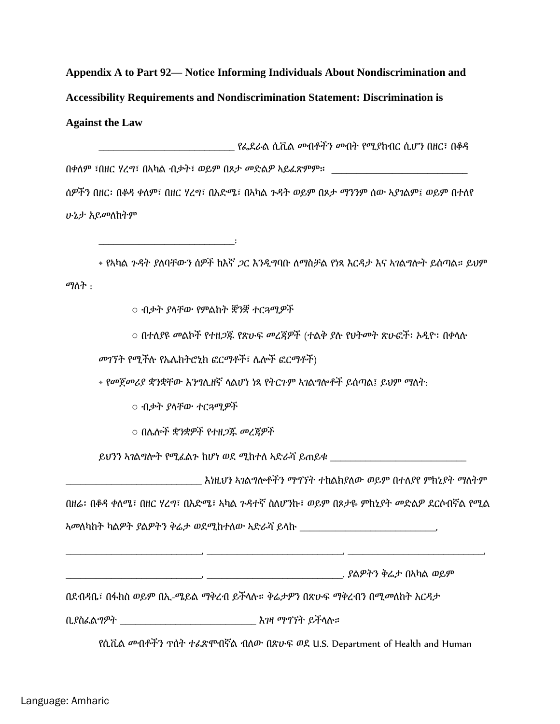**Appendix A to Part 92— Notice Informing Individuals About Nondiscrimination and Accessibility Requirements and Nondiscrimination Statement: Discrimination is Against the Law** 

\_\_\_\_\_\_\_\_\_\_\_\_\_\_\_\_\_\_\_\_\_\_\_\_\_\_\_ የፌደራል ሲቪል መብቶችን መብት የሚያከብር ሲሆን በዘር፣ በቆዳ በቀለም ፣በዘር ሃረግ፣ በኣካል ብቃት፣ ወይም በጾታ መድልዎ ኣይፈጽምም። ሰዎችን በዘር፡ በቆዳ ቀለም፣ በዘር ሃረግ፣ በእድሜ፣ በኣካል ጉዳት ወይም በጾታ ማንንም ሰው ኣያገልም፤ ወይም በተለየ ሁኔታ አይመለከትም

• የኣካል ጉዳት ያለባቸውን ሰዎች ከእኛ ጋር እንዲግባቡ ለማስቻል የነጻ እርዳታ እና ኣገልግሎት ይሰጣል። ይህም ማለት :

○ ብቃት ያላቸው የምልከት ቛንቛ ተርጓሚዎች

 $\mathcal{L}=\mathcal{L}=\mathcal{L}=\mathcal{L}=\mathcal{L}=\mathcal{L}=\mathcal{L}$ 

○ በተለያዩ መልኮች የተዘጋጁ የጽሁፍ መረጃዎች (ተልቅ ያሉ የህትመት ጽሁፎች፡ ኦዲዮ፡ በቀላሉ

መገኘት የሚችሉ የኤሌክትሮኒክ ፎርማቶች፣ ሌሎች ፎርማቶች)

• የመጀመሪያ ቋንቋቸው እንግሊዘኛ ላልሆነ ነጻ የትርጉም ኣገልግሎቶች ይሰጣል፤ ይህም ማለት:

○ ብቃት ያላቸው ተርጓሚዎች

○ በሌሎች ቋንቋዎች የተዘጋጁ መረጃዎች

ይህንን ኣገልግሎት የሚፈልጉ ከሆነ ወደ ሚከተለ ኣድራሻ ይጠይቁ \_\_\_\_\_\_\_\_\_\_\_\_\_\_\_\_\_\_\_\_\_\_\_\_\_\_\_

| እነዚህን ኣገልግሎቶችን ማግኘት ተከልክያለው ወይም በተለያየ ምክኒያት ማለትም |  |  |
|--------------------------------------------------|--|--|
|--------------------------------------------------|--|--|

በዘሬ፡ በቆዳ ቀለሜ፣ በዘር ሃረግ፣ በእድሜ፣ ኣካል ጉዳተኛ ስለሆንኩ፣ ወይም በጾታዬ ምክኒያት መድልዎ ደርሶብኛል የሚል

\_\_\_\_\_\_\_\_\_\_\_\_\_\_\_\_\_\_\_\_\_\_\_\_\_\_\_, \_\_\_\_\_\_\_\_\_\_\_\_\_\_\_\_\_\_\_\_\_\_\_\_\_\_\_, \_\_\_\_\_\_\_\_\_\_\_\_\_\_\_\_\_\_\_\_\_\_\_\_\_\_\_,

ኣመለካከት ካልዎት ያልዎትን ቅሬታ ወደሚከተለው ኣድራሻ ይላኩ \_\_\_\_\_\_\_\_\_\_\_\_\_\_\_\_\_\_\_\_\_\_\_\_\_\_\_,

\_\_\_\_\_\_\_\_\_\_\_\_\_\_\_\_\_\_\_\_\_\_\_\_\_\_\_, \_\_\_\_\_\_\_\_\_\_\_\_\_\_\_\_\_\_\_\_\_\_\_\_\_\_\_. ያልዎትን ቅሬታ በኣካል ወይም

በደብዳቤ፣ በፋክስ ወይም በኢ-ሜይል ማቅረብ ይችላሉ። ቅሬታዎን በጽሁፍ ማቅረብን በሚመለከት እርዳታ

ቢያስፈልግዎት \_\_\_\_\_\_\_\_\_\_\_\_\_\_\_\_\_\_\_\_\_\_\_\_\_\_\_ እገዛ ማግኘት ይችላሉ።

የሲቪል መብቶችን ጥሰት ተፈጽሞብኛል ብለው በጽሁፍ ወደ U.S. Department of Health and Human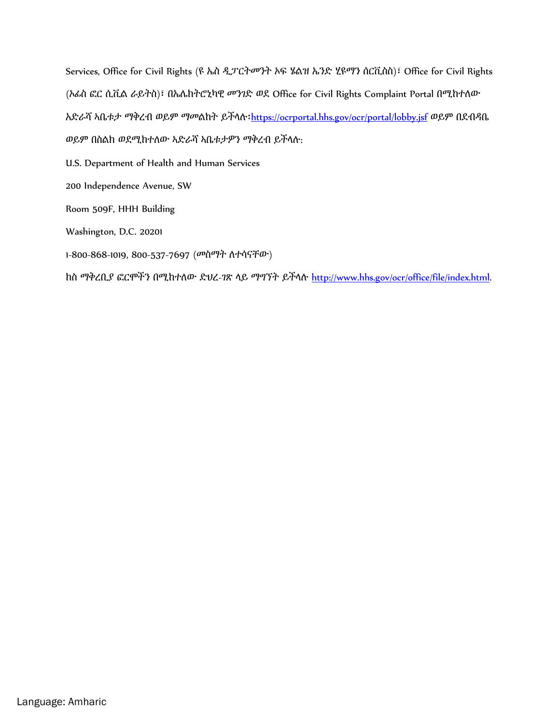Services, Office for Civil Rights (ዩ ኤስ ዲፓርትመንት ኦፍ ሄልዝ ኤንድ ሂዩማን ሰርቪስስ)፣ Office for Civil Rights (ኦፊስ ፎር ሲቪል ራይትስ)፣ በኤሌክትሮኒካዊ መንገድ ወደ Office for Civil Rights Complaint Portal በሚከተለው አድራሻ ኣቤቱታ ማቅረብ ወይም ማመልከት ይችላሉ፡<https://ocrportal.hhs.gov/ocr/portal/lobby.jsf> ወይም በደብዳቤ ወይም በስልክ ወደሚከተለው ኣድራሻ ኣቤቱታዎን ማቅረብ ይችላሉ:

U.S. Department of Health and Human Services

200 Independence Avenue, SW

Room 509F, HHH Building

Washington, D.C. 20201

1-800-868-1019, 800-537-7697 (መስማት ለተሳናቸው)

ክስ ማቅረቢያ ፎርሞችን በሚከተለው ድህረ-ገጽ ላይ ማግኘት ይችላሉ [http://www.hhs.gov/ocr/office/file/index.html.](http://www.hhs.gov/ocr/office/file/index.html)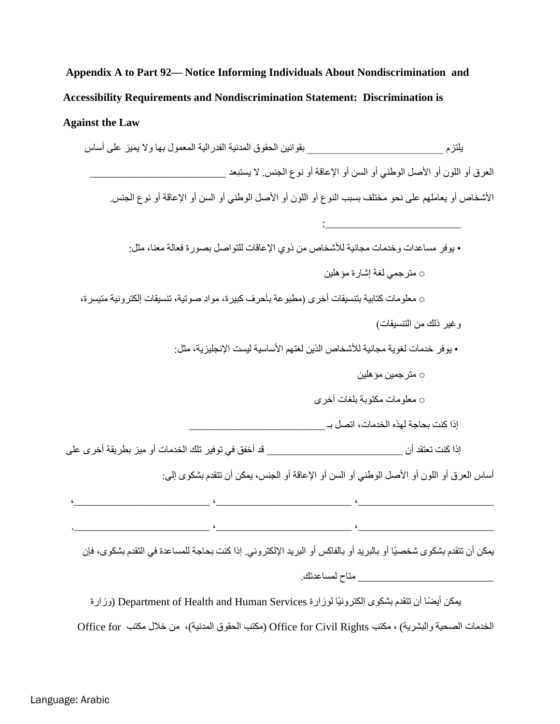### **Against the Law**

یلتزم \_\_\_\_\_\_\_\_\_\_\_\_\_\_\_\_\_\_\_\_\_\_\_\_\_\_\_ بقوانین الحقوق المدنیة الفدرالیة المعمول بھا ولا یمیز على أساس العرق أو اللون أو الأصل الوطني أو السن أو الإعاقة أو نوع الجنس. لا يستبعد الأشخاص أو یعاملھم على نحو مختلف بسبب النوع أو اللون أو الأصل الوطني أو السن أو الإعاقة أو نوع الجنس. : where the interaction of the contract of  $\mathcal{L}_\mathrm{max}$ • یوفر مساعدات وخدمات مجانیة للأشخاص من ذوي الإعاقات للتواصل بصورة فعالة معنا، مثل: ○ مترجمي لغة إشارة مؤھلین ○ معلومات كتابیة بتنسیقات أخرى (مطبوعة بأحرف كبیرة، مواد صوتیة، تنسیقات إلكترونیة متیسرة، وغیر ذلك من التنسیقات) • یوفر خدمات لغویة مجانیة للأشخاص الذین لغتھم الأساسیة لیست الإنجلیزیة، مثل: ○ مترجمین مؤھلین ○ معلومات مكتوبة بلغات أخرى إذا كنت بحاجة لھذه الخدمات، اتصل بـ \_\_\_\_\_\_\_\_\_\_\_\_\_\_\_\_\_\_\_\_\_\_\_\_\_\_\_ إذا كنت تعتقد أن \_\_\_\_\_\_\_\_\_\_\_\_\_\_\_\_\_\_\_\_\_\_\_\_\_\_\_ قد أخفق في توفیر تلك الخدمات أو میز بطریقة أخرى على أساس العرق أو اللون أو الأصل الوطني أو السن أو الإعاقة أو الجنس، یمكن أن تتقدم بشكوى إلى:  $\cdots$  , and the contribution of  $\cdots$  , and  $\cdots$  , and  $\cdots$  , and  $\cdots$  , and  $\cdots$  , and  $\cdots$  , and  $\cdots$  , and  $\cdots$ .\_\_\_\_\_\_\_\_\_\_\_\_\_\_\_\_\_\_\_\_\_\_\_\_\_\_\_ ،\_\_\_\_\_\_\_\_\_\_\_\_\_\_\_\_\_\_\_\_\_\_\_\_\_\_\_ ،\_\_\_\_\_\_\_\_\_\_\_\_\_\_\_\_\_\_\_\_\_\_\_\_\_\_\_ یمكن أن تتقدم بشكوى شخصیًا أو بالبرید أو بالفاكس أو البرید الإلكتروني. إذا كنت بحاجة للمساعدة في التقدم بشكوى، فإن \_\_\_\_\_\_\_\_\_\_\_\_\_\_\_\_\_\_\_\_\_\_\_\_\_\_\_ متاح لمساعدتك. ً یمكن أیضا أن تتقدم بشكوى إلكترونیًا لوزارة Services Human and Health of Department ) وزارة

الخدمات الصحیة والبشریة) ، مكتب Rights Civil for Office ) مكتب الحقوق المدنیة)، من خلال مكتب for Office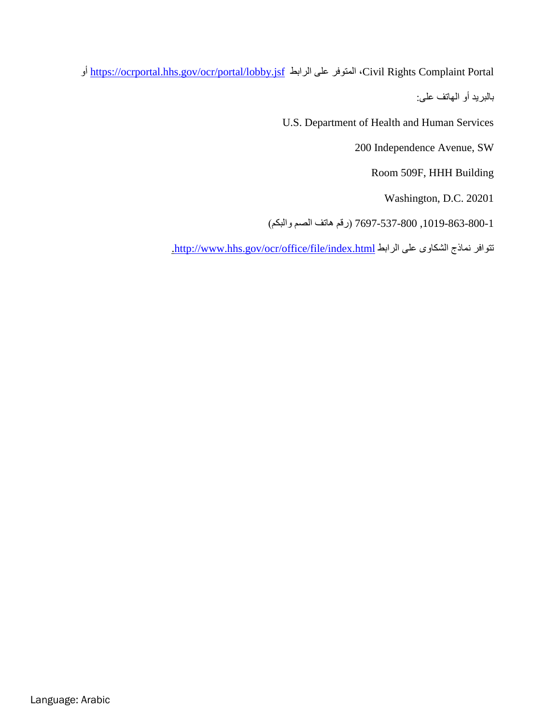أو <https://ocrportal.hhs.gov/ocr/portal/lobby.jsf> الرابط على المتوفر ،Civil Rights Complaint Portal بالبرید أو الھاتف على:

U.S. Department of Health and Human Services

200 Independence Avenue, SW

Room 509F, HHH Building

Washington, D.C. 20201

,800-537-7697 1-800-863-1019 (رقم ھاتف الصم والبكم)

[.http://www.hhs.gov/ocr/office/file/index.html](http://www.hhs.gov/ocr/office/file/index.html) الرابط على الشكاوى نماذج تتوافر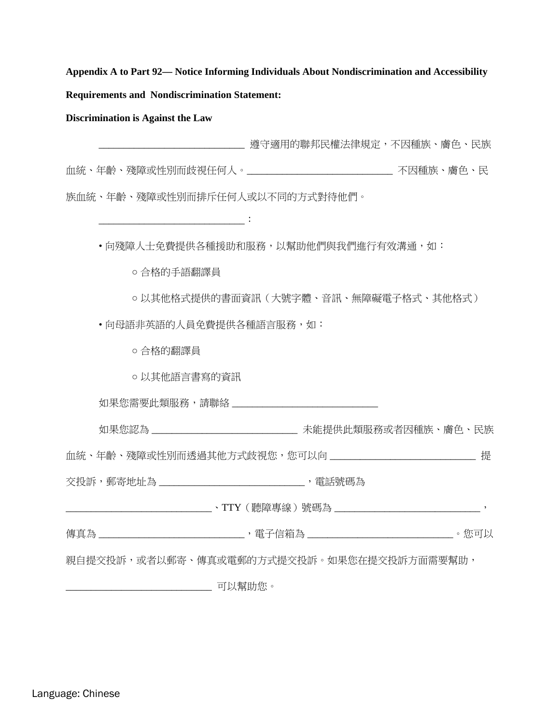**Discrimination is Against the Law**

\_\_\_\_\_\_\_\_\_\_\_\_\_\_\_\_\_\_\_\_\_\_\_\_\_\_\_\_\_ 遵守適用的聯邦民權法律規定,不因種族、膚色、民族 血統、年齡、殘障或性別而歧視任何人。\_\_\_\_\_\_\_\_\_\_\_\_\_\_\_\_\_\_\_\_\_\_\_\_\_\_\_\_\_ 不因種族、膚色、民 族血統、年齡、殘障或性別而排斥任何人或以不同的方式對待他們。

• 向殘障人士免費提供各種援助和服務,以幫助他們與我們進行有效溝通,如:

○ 合格的手語翻譯員

\_\_\_\_\_\_\_\_\_\_\_\_\_\_\_\_\_\_\_\_\_\_\_\_\_\_\_\_\_:

○ 以其他格式提供的書面資訊(大號字體、音訊、無障礙電子格式、其他格式)

• 向母語非英語的人員免費提供各種語言服務,如:

○ 合格的翻譯員

○ 以其他語言書寫的資訊

如果您需要此類服務,請聯絡 \_\_\_\_\_\_\_\_\_\_\_\_\_\_\_\_\_\_\_\_\_\_\_\_\_\_\_\_\_

如果您認為 \_\_\_\_\_\_\_\_\_\_\_\_\_\_\_\_\_\_\_\_\_\_\_\_\_\_\_\_\_\_\_\_ 未能提供此類服務或者因種族、膚色、民族

血統、年齡、殘障或性別而透過其他方式歧視您,您可以向 \_\_\_\_\_\_\_\_\_\_\_\_\_\_\_\_\_\_\_\_\_\_\_\_\_\_\_\_\_\_ 提

交投訴,郵寄地址為 \_\_\_\_\_\_\_\_\_\_\_\_\_\_\_\_\_\_\_\_\_\_\_\_\_\_\_\_\_\_\_, 電話號碼為

\_\_\_\_\_\_\_\_\_\_\_\_\_\_\_\_\_\_\_\_\_\_\_\_\_\_\_\_\_、TTY(聽障專線)號碼為 \_\_\_\_\_\_\_\_\_\_\_\_\_\_\_\_\_\_\_\_\_\_\_\_\_\_\_\_\_,

傳真為 \_\_\_\_\_\_\_\_\_\_\_\_\_\_\_\_\_\_\_\_\_\_\_\_\_\_\_\_\_\_\_, 電子信箱為 \_\_\_\_\_\_\_\_\_\_\_\_\_\_\_\_\_\_\_\_\_\_\_\_\_\_\_\_\_\_\_\_。您可以

親自提交投訴,或者以郵寄、傳真或電郵的方式提交投訴。如果您在提交投訴方面需要幫助,

\_\_\_\_\_\_\_\_\_\_\_\_\_\_\_\_\_\_\_\_\_\_\_\_\_\_\_\_\_ 可以幫助您。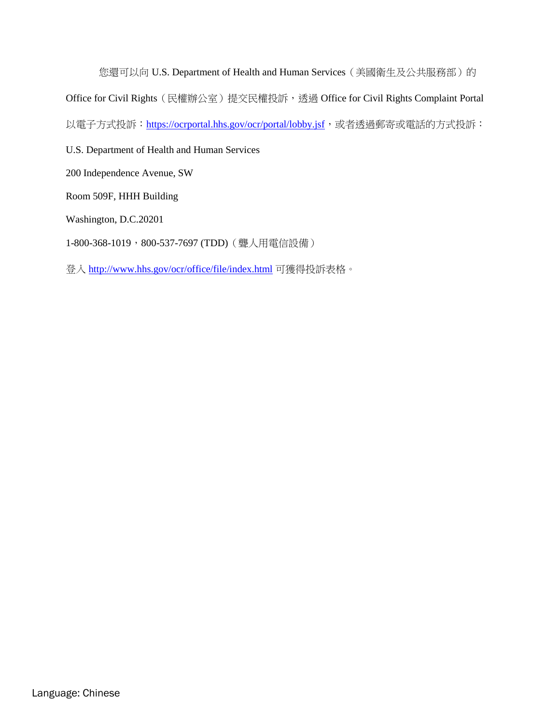您還可以向 U.S. Department of Health and Human Services (美國衛生及公共服務部)的 Office for Civil Rights(民權辦公室)提交民權投訴,透過 Office for Civil Rights Complaint Portal 以電子方式投訴: <https://ocrportal.hhs.gov/ocr/portal/lobby.jsf>,或者透過郵寄或電話的方式投訴:

U.S. Department of Health and Human Services

200 Independence Avenue, SW

Room 509F, HHH Building

Washington, D.C.20201

1-800-368-1019, 800-537-7697 (TDD) ( 聾人用電信設備)

登入 <http://www.hhs.gov/ocr/office/file/index.html> 可獲得投訴表格。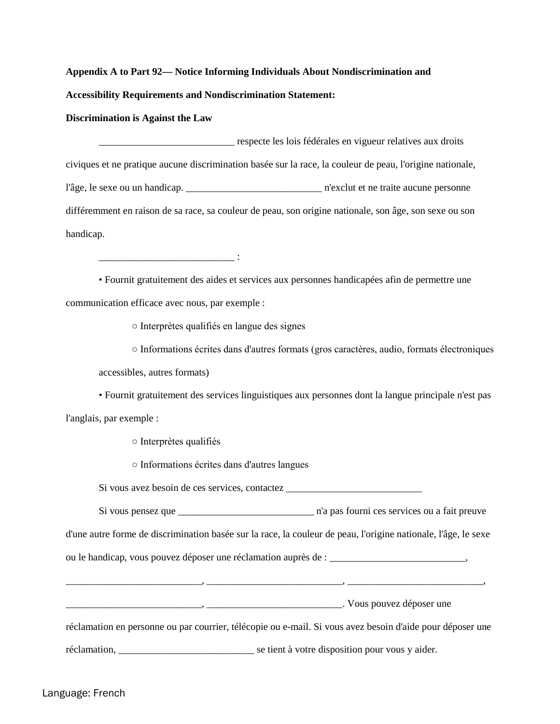**Discrimination is Against the Law**

\_\_\_\_\_\_\_\_\_\_\_\_\_\_\_\_\_\_\_\_\_\_\_\_\_\_\_ respecte les lois fédérales en vigueur relatives aux droits civiques et ne pratique aucune discrimination basée sur la race, la couleur de peau, l'origine nationale, l'âge, le sexe ou un handicap. \_\_\_\_\_\_\_\_\_\_\_\_\_\_\_\_\_\_\_\_\_\_\_\_\_\_\_ n'exclut et ne traite aucune personne différemment en raison de sa race, sa couleur de peau, son origine nationale, son âge, son sexe ou son handicap.

• Fournit gratuitement des aides et services aux personnes handicapées afin de permettre une communication efficace avec nous, par exemple :

○ Interprètes qualifiés en langue des signes

 $\mathcal{L}=\{1,2,3,4,5\}$ 

○ Informations écrites dans d'autres formats (gros caractères, audio, formats électroniques

accessibles, autres formats)

• Fournit gratuitement des services linguistiques aux personnes dont la langue principale n'est pas l'anglais, par exemple :

○ Interprètes qualifiés

○ Informations écrites dans d'autres langues

Si vous avez besoin de ces services, contactez \_\_\_\_\_\_\_\_\_\_\_\_\_\_\_\_\_\_\_\_\_\_\_\_\_\_\_

Si vous pensez que \_\_\_\_\_\_\_\_\_\_\_\_\_\_\_\_\_\_\_\_\_\_\_\_\_\_\_ n'a pas fourni ces services ou a fait preuve

d'une autre forme de discrimination basée sur la race, la couleur de peau, l'origine nationale, l'âge, le sexe

 $\ldots \qquad ,$   $\qquad \qquad$ 

ou le handicap, vous pouvez déposer une réclamation auprès de : \_\_\_\_\_\_\_\_\_\_\_\_\_\_\_\_\_\_\_\_\_\_\_\_\_\_\_,

\_\_\_\_\_\_\_\_\_\_\_\_\_\_\_\_\_\_\_\_\_\_\_\_\_\_\_, \_\_\_\_\_\_\_\_\_\_\_\_\_\_\_\_\_\_\_\_\_\_\_\_\_\_\_. Vous pouvez déposer une

réclamation en personne ou par courrier, télécopie ou e-mail. Si vous avez besoin d'aide pour déposer une

réclamation, \_\_\_\_\_\_\_\_\_\_\_\_\_\_\_\_\_\_\_\_\_\_\_\_\_\_\_ se tient à votre disposition pour vous y aider.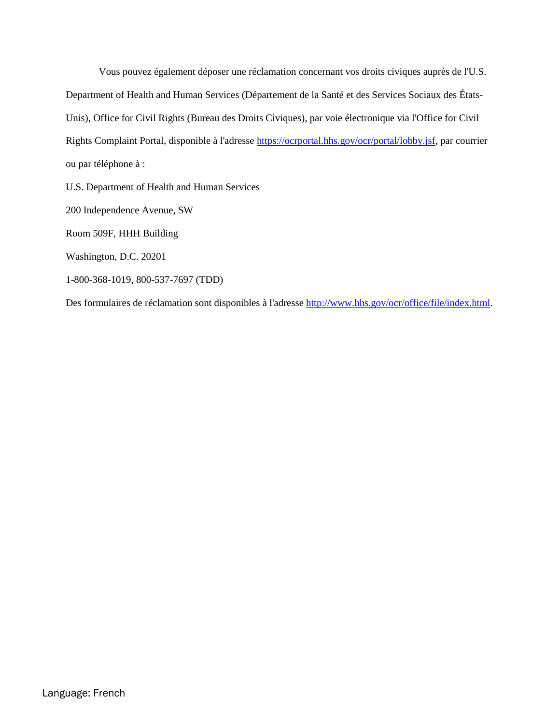Vous pouvez également déposer une réclamation concernant vos droits civiques auprès de l'U.S. Department of Health and Human Services (Département de la Santé et des Services Sociaux des États-Unis), Office for Civil Rights (Bureau des Droits Civiques), par voie électronique via l'Office for Civil Rights Complaint Portal, disponible à l'adresse [https://ocrportal.hhs.gov/ocr/portal/lobby.jsf,](https://ocrportal.hhs.gov/ocr/portal/lobby.jsf) par courrier ou par téléphone à :

U.S. Department of Health and Human Services

200 Independence Avenue, SW

Room 509F, HHH Building

Washington, D.C. 20201

1-800-368-1019, 800-537-7697 (TDD)

Des formulaires de réclamation sont disponibles à l'adresse [http://www.hhs.gov/ocr/office/file/index.html.](http://www.hhs.gov/ocr/office/file/index.html)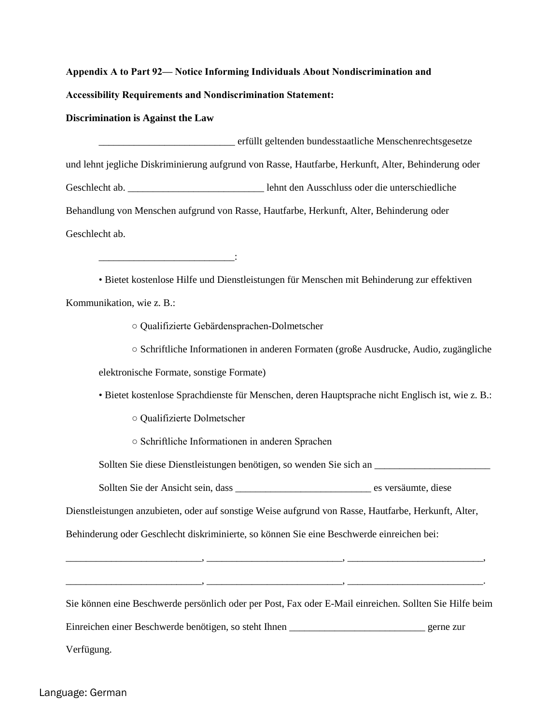### **Discrimination is Against the Law**

\_\_\_\_\_\_\_\_\_\_\_\_\_\_\_\_\_\_\_\_\_\_\_\_\_\_\_ erfüllt geltenden bundesstaatliche Menschenrechtsgesetze und lehnt jegliche Diskriminierung aufgrund von Rasse, Hautfarbe, Herkunft, Alter, Behinderung oder Geschlecht ab.  $\qquad \qquad$  lehnt den Ausschluss oder die unterschiedliche Behandlung von Menschen aufgrund von Rasse, Hautfarbe, Herkunft, Alter, Behinderung oder Geschlecht ab.

• Bietet kostenlose Hilfe und Dienstleistungen für Menschen mit Behinderung zur effektiven Kommunikation, wie z. B.:

○ Qualifizierte Gebärdensprachen-Dolmetscher

○ Schriftliche Informationen in anderen Formaten (große Ausdrucke, Audio, zugängliche

elektronische Formate, sonstige Formate)

\_\_\_\_\_\_\_\_\_\_\_\_\_\_\_\_\_\_\_\_\_\_\_\_\_\_\_:

• Bietet kostenlose Sprachdienste für Menschen, deren Hauptsprache nicht Englisch ist, wie z. B.:

○ Qualifizierte Dolmetscher

○ Schriftliche Informationen in anderen Sprachen

Sollten Sie diese Dienstleistungen benötigen, so wenden Sie sich an \_\_\_\_\_\_\_\_\_\_\_\_\_\_\_\_\_\_\_\_\_\_\_

Sollten Sie der Ansicht sein, dass \_\_\_\_\_\_\_\_\_\_\_\_\_\_\_\_\_\_\_\_\_\_\_\_\_\_\_ es versäumte, diese

Dienstleistungen anzubieten, oder auf sonstige Weise aufgrund von Rasse, Hautfarbe, Herkunft, Alter,

Behinderung oder Geschlecht diskriminierte, so können Sie eine Beschwerde einreichen bei:

Sie können eine Beschwerde persönlich oder per Post, Fax oder E-Mail einreichen. Sollten Sie Hilfe beim

\_\_\_\_\_\_\_\_\_\_\_\_\_\_\_\_\_\_\_\_\_\_\_\_\_\_\_, \_\_\_\_\_\_\_\_\_\_\_\_\_\_\_\_\_\_\_\_\_\_\_\_\_\_\_, \_\_\_\_\_\_\_\_\_\_\_\_\_\_\_\_\_\_\_\_\_\_\_\_\_\_\_,

\_\_\_\_\_\_\_\_\_\_\_\_\_\_\_\_\_\_\_\_\_\_\_\_\_\_\_, \_\_\_\_\_\_\_\_\_\_\_\_\_\_\_\_\_\_\_\_\_\_\_\_\_\_\_, \_\_\_\_\_\_\_\_\_\_\_\_\_\_\_\_\_\_\_\_\_\_\_\_\_\_\_.

Einreichen einer Beschwerde benötigen, so steht Ihnen \_\_\_\_\_\_\_\_\_\_\_\_\_\_\_\_\_\_\_\_\_\_\_\_\_\_\_ gerne zur

Verfügung.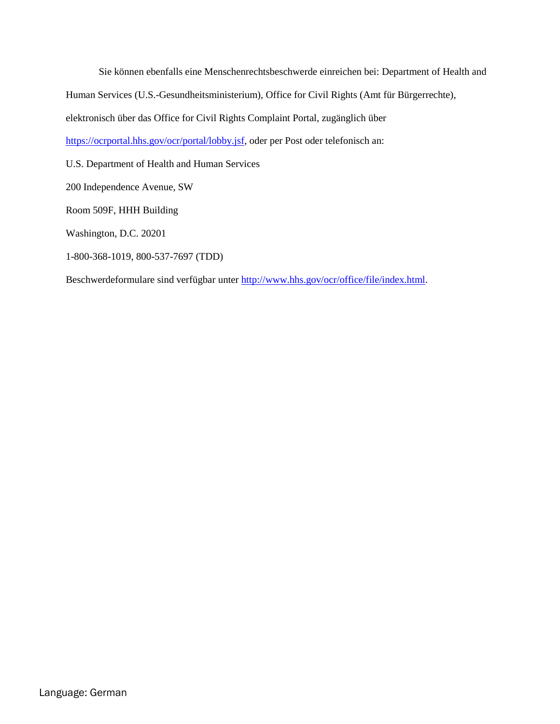Sie können ebenfalls eine Menschenrechtsbeschwerde einreichen bei: Department of Health and Human Services (U.S.-Gesundheitsministerium), Office for Civil Rights (Amt für Bürgerrechte), elektronisch über das Office for Civil Rights Complaint Portal, zugänglich über

[https://ocrportal.hhs.gov/ocr/portal/lobby.jsf,](https://ocrportal.hhs.gov/ocr/portal/lobby.jsf) oder per Post oder telefonisch an:

U.S. Department of Health and Human Services

200 Independence Avenue, SW

Room 509F, HHH Building

Washington, D.C. 20201

1-800-368-1019, 800-537-7697 (TDD)

Beschwerdeformulare sind verfügbar unter [http://www.hhs.gov/ocr/office/file/index.html.](http://www.hhs.gov/ocr/office/file/index.html)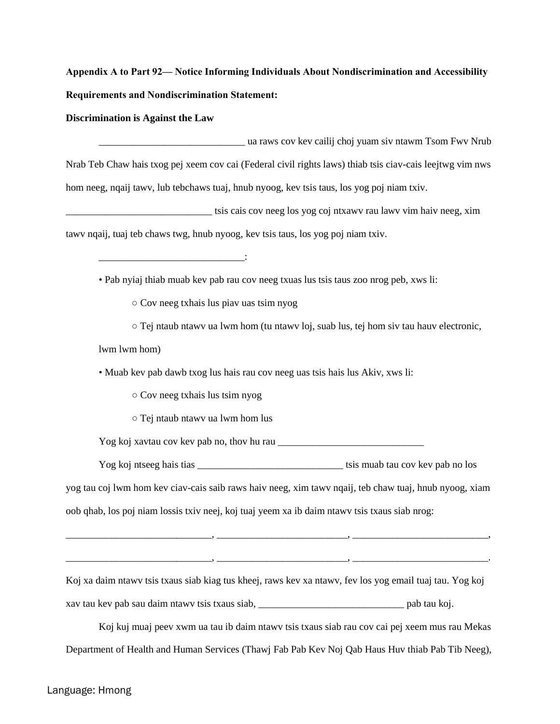**Discrimination is Against the Law** 

\_\_\_\_\_\_\_\_\_\_\_\_\_\_\_\_\_\_\_\_\_\_\_\_\_\_\_\_\_ ua raws cov kev cailij choj yuam siv ntawm Tsom Fwv Nrub Nrab Teb Chaw hais txog pej xeem cov cai (Federal civil rights laws) thiab tsis ciav-cais leejtwg vim nws hom neeg, nqaij tawv, lub tebchaws tuaj, hnub nyoog, kev tsis taus, los yog poj niam txiv.

\_\_\_\_\_\_\_\_\_\_\_\_\_\_\_\_\_\_\_\_\_\_\_\_\_\_\_\_\_ tsis cais cov neeg los yog coj ntxawv rau lawv vim haiv neeg, xim tawv nqaij, tuaj teb chaws twg, hnub nyoog, kev tsis taus, los yog poj niam txiv.

• Pab nyiaj thiab muab kev pab rau cov neeg txuas lus tsis taus zoo nrog peb, xws li:

○ Cov neeg txhais lus piav uas tsim nyog

\_\_\_\_\_\_\_\_\_\_\_\_\_\_\_\_\_\_\_\_\_\_\_\_\_\_\_\_\_:

 $\circ$  Tej ntaub ntawv ua lwm hom (tu ntawv loj, suab lus, tej hom siv tau hauv electronic,

lwm lwm hom)

• Muab kev pab dawb txog lus hais rau cov neeg uas tsis hais lus Akiv, xws li:

○ Cov neeg txhais lus tsim nyog

○ Tej ntaub ntawv ua lwm hom lus

Yog koj xavtau cov kev pab no, thov hu rau \_\_\_\_\_\_\_\_\_\_\_\_\_\_\_\_\_\_\_\_\_\_\_\_\_\_\_\_\_

Yog koj ntseeg hais tias \_\_\_\_\_\_\_\_\_\_\_\_\_\_\_\_\_\_\_\_\_\_\_\_\_\_\_\_\_ tsis muab tau cov kev pab no los yog tau coj lwm hom kev ciav-cais saib raws haiv neeg, xim tawv nqaij, teb chaw tuaj, hnub nyoog, xiam oob qhab, los poj niam lossis txiv neej, koj tuaj yeem xa ib daim ntawv tsis txaus siab nrog:

\_\_\_\_\_\_\_\_\_\_\_\_\_\_\_\_\_\_\_\_\_\_\_\_\_\_\_\_\_, \_\_\_\_\_\_\_\_\_\_\_\_\_\_\_\_\_\_\_\_\_\_\_\_\_\_, \_\_\_\_\_\_\_\_\_\_\_\_\_\_\_\_\_\_\_\_\_\_\_\_\_\_\_,

Koj xa daim ntawv tsis txaus siab kiag tus kheej, raws kev xa ntawv, fev los yog email tuaj tau. Yog koj xav tau kev pab sau daim ntawv tsis txaus siab, \_\_\_\_\_\_\_\_\_\_\_\_\_\_\_\_\_\_\_\_\_\_\_\_\_\_\_\_\_ pab tau koj.

\_\_\_\_\_\_\_\_\_\_\_\_\_\_\_\_\_\_\_\_\_\_\_\_\_\_\_\_\_, \_\_\_\_\_\_\_\_\_\_\_\_\_\_\_\_\_\_\_\_\_\_\_\_\_\_, \_\_\_\_\_\_\_\_\_\_\_\_\_\_\_\_\_\_\_\_\_\_\_\_\_\_\_.

Koj kuj muaj peev xwm ua tau ib daim ntawv tsis txaus siab rau cov cai pej xeem mus rau Mekas Department of Health and Human Services (Thawj Fab Pab Kev Noj Qab Haus Huv thiab Pab Tib Neeg),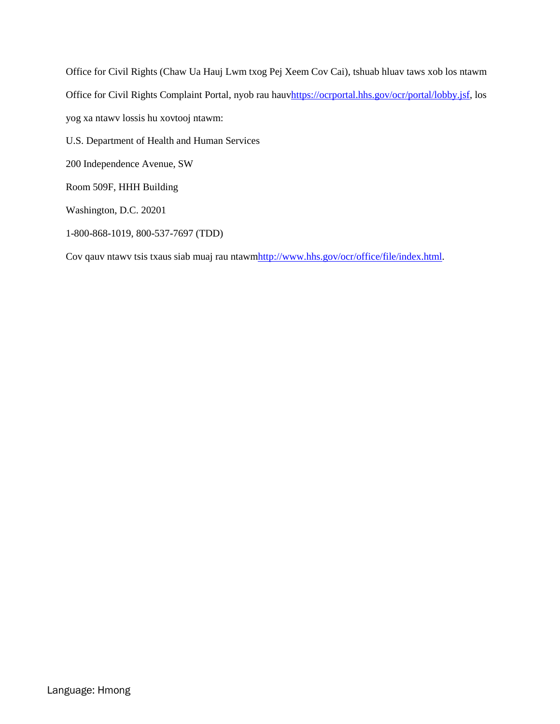Office for Civil Rights (Chaw Ua Hauj Lwm txog Pej Xeem Cov Cai), tshuab hluav taws xob los ntawm Office for Civil Rights Complaint Portal, nyob rau hau[vhttps://ocrportal.hhs.gov/ocr/portal/lobby.jsf,](https://ocrportal.hhs.gov/ocr/portal/lobby.jsf) los yog xa ntawv lossis hu xovtooj ntawm: U.S. Department of Health and Human Services 200 Independence Avenue, SW Room 509F, HHH Building Washington, D.C. 20201

1-800-868-1019, 800-537-7697 (TDD)

Cov qauv ntawv tsis txaus siab muaj rau ntaw[mhttp://www.hhs.gov/ocr/office/file/index.html.](http://www.hhs.gov/ocr/office/file/index.html)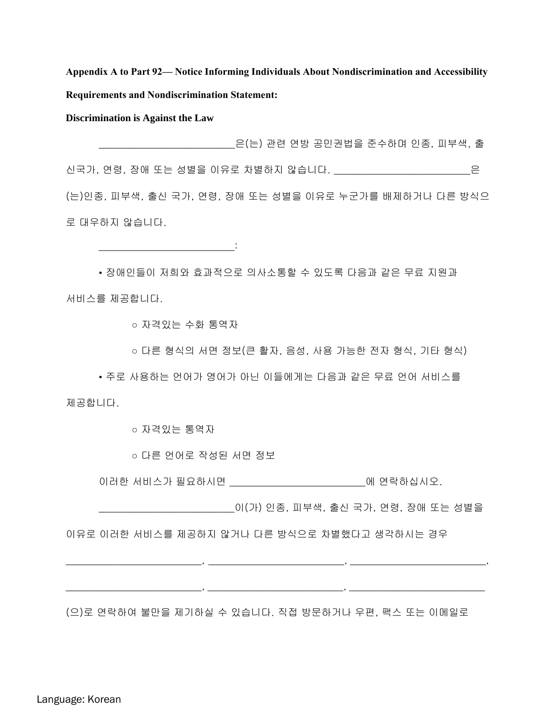**Discrimination is Against the Law** 

\_\_\_\_\_\_\_\_\_\_\_\_\_\_\_\_\_\_\_\_\_\_\_\_\_\_\_은(는) 관련 연방 공민권법을 준수하며 인종, 피부색, 출 신국가, 연령, 장애 또는 성별을 이유로 차별하지 않습니다. \_\_\_\_\_\_\_\_\_\_\_\_\_\_\_\_\_\_\_\_\_\_\_\_\_\_\_은 (는)인종, 피부색, 출신 국가, 연령, 장애 또는 성별을 이유로 누군가를 배제하거나 다른 방식으 로 대우하지 않습니다.

• 장애인들이 저희와 효과적으로 의사소통할 수 있도록 다음과 같은 무료 지원과 서비스를 제공합니다.

○ 자격있는 수화 통역자

 $\frac{1}{2}$  ,  $\frac{1}{2}$  ,  $\frac{1}{2}$  ,  $\frac{1}{2}$  ,  $\frac{1}{2}$  ,  $\frac{1}{2}$  ,  $\frac{1}{2}$  ,  $\frac{1}{2}$  ,  $\frac{1}{2}$  ,  $\frac{1}{2}$ 

○ 다른 형식의 서면 정보(큰 활자, 음성, 사용 가능한 전자 형식, 기타 형식)

• 주로 사용하는 언어가 영어가 아닌 이들에게는 다음과 같은 무료 언어 서비스를 제공합니다.

○ 자격있는 통역자

○ 다른 언어로 작성된 서면 정보

\_\_\_\_\_\_\_\_\_\_\_\_\_\_\_\_\_\_\_\_\_\_\_\_\_\_\_, \_\_\_\_\_\_\_\_\_\_\_\_\_\_\_\_\_\_\_\_\_\_\_\_\_\_\_, \_\_\_\_\_\_\_\_\_\_\_\_\_\_\_\_\_\_\_\_\_\_\_\_\_\_\_

이러한 서비스가 필요하시면 \_\_\_\_\_\_\_\_\_\_\_\_\_\_\_\_\_\_\_\_\_\_\_\_\_\_\_에 연락하십시오.

\_\_\_\_\_\_\_\_\_\_\_\_\_\_\_\_\_\_\_\_\_\_\_\_\_\_\_이(가) 인종, 피부색, 출신 국가, 연령, 장애 또는 성별을

\_\_\_\_\_\_\_\_\_\_\_\_\_\_\_\_\_\_\_\_\_\_\_\_\_\_\_, \_\_\_\_\_\_\_\_\_\_\_\_\_\_\_\_\_\_\_\_\_\_\_\_\_\_\_, \_\_\_\_\_\_\_\_\_\_\_\_\_\_\_\_\_\_\_\_\_\_\_\_\_\_\_,

이유로 이러한 서비스를 제공하지 않거나 다른 방식으로 차별했다고 생각하시는 경우

(으)로 연락하여 불만을 제기하실 수 있습니다. 직접 방문하거나 우편, 팩스 또는 이메일로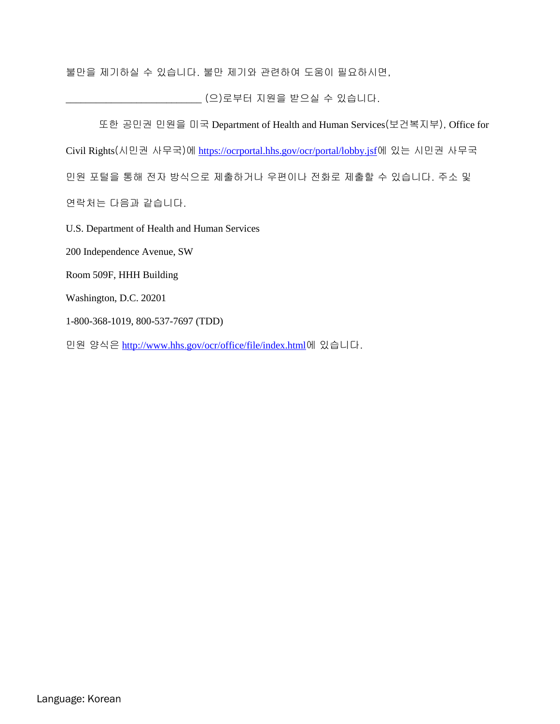불만을 제기하실 수 있습니다. 불만 제기와 관련하여 도움이 필요하시면,

\_\_\_\_\_\_\_\_\_\_\_\_\_\_\_\_\_\_\_\_\_\_\_\_\_\_\_ (으)로부터 지원을 받으실 수 있습니다.

또한 공민권 민원을 미국 Department of Health and Human Services(보건복지부), Office for Civil Rights(시민권 사무국)에 <https://ocrportal.hhs.gov/ocr/portal/lobby.jsf>에 있는 시민권 사무국 민원 포털을 통해 전자 방식으로 제출하거나 우편이나 전화로 제출할 수 있습니다. 주소 및 연락처는 다음과 같습니다. U.S. Department of Health and Human Services 200 Independence Avenue, SW Room 509F, HHH Building Washington, D.C. 20201 1-800-368-1019, 800-537-7697 (TDD)

민원 양식은 <http://www.hhs.gov/ocr/office/file/index.html>에 있습니다.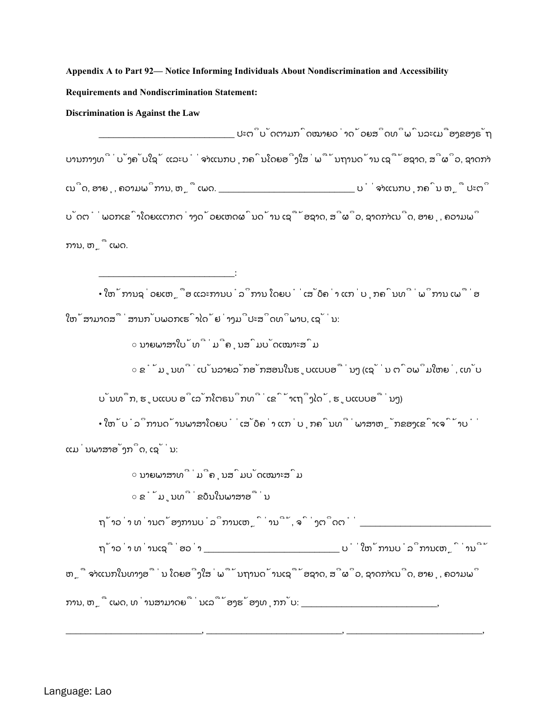#### **Discrimination is Against the Law**

\_\_\_\_\_\_\_\_\_\_\_\_\_\_\_\_\_\_\_\_\_\_\_\_\_\_\_:

\_\_\_\_\_\_\_\_\_\_\_\_\_\_\_\_\_\_\_\_\_\_\_\_\_\_\_ ປະຕິບັດຕາມກົດໝາຍວ່າດ້ວຍສິດທິພົນລະເມືອງຂອງຣັຖ ບານກາງທີ່ບັງຄັບໃຊ້ ແລະບໍ່ຈຳແນກບຸກຄົນໂດຍອີງໃສ່ພື້ນຖານດ້ານ ເຊື້ອຊາດ, ສີຜິວ, ຊາດກຳ ເນີດ, ອາຍຸ, ຄວາມພິການ, ຫຼື ເພດ. \_\_\_\_\_\_\_\_\_\_\_\_\_\_\_\_\_\_\_\_\_\_\_\_\_\_\_ ບໍ່ຈຳແນກບຸກຄົນ ຫຼື ປະຕິ ບັດຕໍ່ພວກເຂົາໂດຍແຕກຕ່າງດ້ວຍເຫດຜົນດ້ານ ເຊື້ອຊາດ, ສີຜິວ, ຊາດກຳເນີດ, ອາຍຸ, ຄວາມພິ ການ, ຫຼື ເພດ.

• ໃຫ້ການຊ່ວຍເຫຼືອ ແລະການບໍລິການ ໂດຍບໍ່ເສັຽຄ່າ ແກ່ບຸກຄົນທີ່ພິການ ເພື່ອ ໃຫ້ສາມາດສື່ສານກັບພວກເຮົາໄດ້ຢ່າງມີປະສິດທິພາບ, ເຊັ່ນ:

○ ນາຍພາສາໃບ້ທີ່ມີຄຸນສົມບັດເໝາະສົມ

○ ຂໍ້ມູນທີ່ເປັນລາຍລັກອັກສອນໃນຮູບແບບອື່ນໆ (ເຊັ່ນ ຕົວພິມໃຫຍ່, ເທັບ

ບັນທຶກ, ຮູບແບບ ອິເລັກໂຕຣນິກທີ່ເຂົ້າເຖິງໄດ້, ຮູບແບບອື່ນໆ)

• ໃຫ້ບໍລິການດ້ານພາສາໂດຍບໍ່ເສັຽຄ່າ ແກ່ບຸກຄົນທີ່ພາສາຫຼັກຂອງເຂົາເຈົ້າບໍ່ ແມ່ນພາສາອັງກິດ, ເຊັ່ນ:

> ○ ນາຍພາສາທີ່ມີຄຸນສົມບັດເໝາະສົມ ○ ຂໍ້ມູນທີ່ຂຽນໃນພາສາອື່ນ

ຖ້າວ່າ ທ່ານຕ້ອງການບໍລິການເຫຼົ່ານີ້, ຈົ່ງຕິດຕໍ່ \_\_\_\_\_\_\_\_\_\_\_\_\_\_\_\_\_\_\_\_\_\_\_\_\_\_\_\_\_\_\_\_\_

ຖ້າວ່າ ທ່ານເຊື່ອວ່າ \_\_\_\_\_\_\_\_\_\_\_\_\_\_\_\_\_\_\_\_\_\_\_\_\_\_\_ ບໍ່ໃຫ້ການບໍລິການເຫຼົ່ານີ້

ຫຼື ຈຳແນກໃນທາງອື່ນ ໂດຍອີງໃສ່ພື້ນຖານດ້ານເຊື້ອຊາດ, ສີຜິວ, ຊາດກຳເນີດ, ອາຍຸ, ຄວາມພິ

\_\_\_\_\_\_\_\_\_\_\_\_\_\_\_\_\_\_\_\_\_\_\_\_\_\_\_, \_\_\_\_\_\_\_\_\_\_\_\_\_\_\_\_\_\_\_\_\_\_\_\_\_\_\_, \_\_\_\_\_\_\_\_\_\_\_\_\_\_\_\_\_\_\_\_\_\_\_\_\_\_\_,

ການ, ຫຼື ເພດ, ທ່ານສາມາດຍື່ນເລື້ອງຮ້ອງທຸກກັບ: \_\_\_\_\_\_\_\_\_\_\_\_\_\_\_\_\_\_\_\_\_\_\_\_\_\_\_\_\_\_\_\_\_,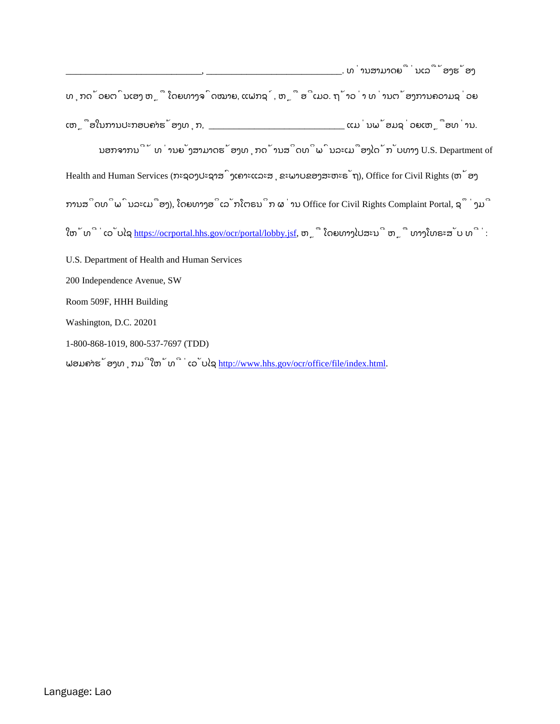| ________, __________________________. ທ່ານສາມາດຍື່ນເລື້ອງຮ້ອງ                                             |
|-----------------------------------------------------------------------------------------------------------|
| ທຸກດ້ວຍຕົນເອງ ຫຼື ໂດຍທາງຈົດໝາຍ, ແຟກຊ໌, ຫຼື ອີເມວ. ຖ້າວ່າ ທ່ານຕ້ອງການຄວາມຊ່ວຍ                              |
|                                                                                                           |
| ນອກຈາກນີ້ ທ່ານຍັງສາມາດຮ້ອງທຸກດ້ານສິດທິພົນລະເມືອງໄດ້ກັບທາງ U.S. Department of                              |
| Health and Human Services (ກະຊວງປະຊາສົງເຄາະແລະສຸຂະພາບຂອງສະຫະຣັຖ), Office for Civil Rights (ຫ້ອງ           |
| ການສິດທິພົນລະເມືອງ), ໂດຍທາງອິເລັກໂຕຣນິກ ຜ່ານ Office for Civil Rights Complaint Portal, ຊຶ່ງມີ             |
| ໃຫ້ທີ່ເວັບໄຊ <u>https://ocrportal.hhs.gov/ocr/portal/lobby.jsf</u> , ຫຼື ໂດຍທາງໄປສະນີ ຫຼື ທາງໂທຣະສັບ ທີ່: |
| U.S. Department of Health and Human Services                                                              |
| 200 Independence Avenue, SW                                                                               |
| Room 509F, HHH Building                                                                                   |
| Washington, D.C. 20201                                                                                    |
| 1-800-868-1019, 800-537-7697 (TDD)                                                                        |

ຟອມຄາຮ້ອງທຸກມີໃຫ້ທີ່ເວັບໄຊ <u>http://www.hhs.gov/ocr/office/file/index.html</u>.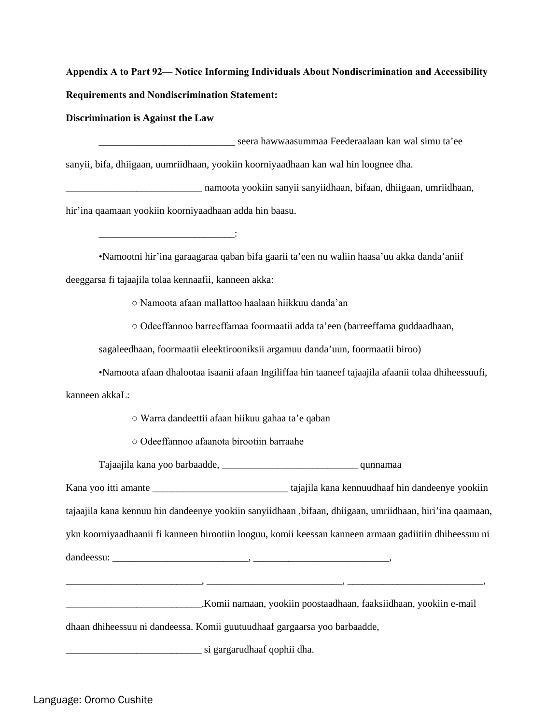**Discrimination is Against the Law** 

\_\_\_\_\_\_\_\_\_\_\_\_\_\_\_\_\_\_\_\_\_\_\_\_\_\_\_ seera hawwaasummaa Feederaalaan kan wal simu ta'ee sanyii, bifa, dhiigaan, uumriidhaan, yookiin koorniyaadhaan kan wal hin loognee dha.

\_\_\_\_\_\_\_\_\_\_\_\_\_\_\_\_\_\_\_\_\_\_\_\_\_\_\_ namoota yookiin sanyii sanyiidhaan, bifaan, dhiigaan, umriidhaan, hir'ina qaamaan yookiin koorniyaadhaan adda hin baasu.

•Namootni hir'ina garaagaraa qaban bifa gaarii ta'een nu waliin haasa'uu akka danda'aniif deeggarsa fi tajaajila tolaa kennaafii, kanneen akka:

○ Namoota afaan mallattoo haalaan hiikkuu danda'an

 $\mathcal{L}_\text{max}$  and  $\mathcal{L}_\text{max}$  and  $\mathcal{L}_\text{max}$  and  $\mathcal{L}_\text{max}$ 

○ Odeeffannoo barreeffamaa foormaatii adda ta'een (barreeffama guddaadhaan,

sagaleedhaan, foormaatii eleektirooniksii argamuu danda'uun, foormaatii biroo)

•Namoota afaan dhalootaa isaanii afaan Ingiliffaa hin taaneef tajaajila afaanii tolaa dhiheessuufi,

kanneen akkaL:

○ Warra dandeettii afaan hiikuu gahaa ta'e qaban

○ Odeeffannoo afaanota birootiin barraahe

Tajaajila kana yoo barbaadde, \_\_\_\_\_\_\_\_\_\_\_\_\_\_\_\_\_\_\_\_\_\_\_\_\_\_\_ qunnamaa

Kana yoo itti amante \_\_\_\_\_\_\_\_\_\_\_\_\_\_\_\_\_\_\_\_\_\_\_\_\_\_\_ tajajila kana kennuudhaaf hin dandeenye yookiin tajaajila kana kennuu hin dandeenye yookiin sanyiidhaan ,bifaan, dhiigaan, umriidhaan, hiri'ina qaamaan, ykn koorniyaadhaanii fi kanneen birootiin looguu, komii keessan kanneen armaan gadiitiin dhiheessuu ni dandeessu: \_\_\_\_\_\_\_\_\_\_\_\_\_\_\_\_\_\_\_\_\_\_\_\_\_\_\_, \_\_\_\_\_\_\_\_\_\_\_\_\_\_\_\_\_\_\_\_\_\_\_\_\_\_\_,

| Komii namaan, yookiin poostaadhaan, faaksiidhaan, yookiin e-mail |  |  |
|------------------------------------------------------------------|--|--|
|                                                                  |  |  |

\_\_\_\_\_\_\_\_\_\_\_\_\_\_\_\_\_\_\_\_\_\_\_\_\_\_\_, \_\_\_\_\_\_\_\_\_\_\_\_\_\_\_\_\_\_\_\_\_\_\_\_\_\_\_, \_\_\_\_\_\_\_\_\_\_\_\_\_\_\_\_\_\_\_\_\_\_\_\_\_\_\_,

dhaan dhiheessuu ni dandeessa. Komii guutuudhaaf gargaarsa yoo barbaadde,

\_\_\_\_\_\_\_\_\_\_\_\_\_\_\_\_\_\_\_\_\_\_\_\_\_\_\_ si gargarudhaaf qophii dha.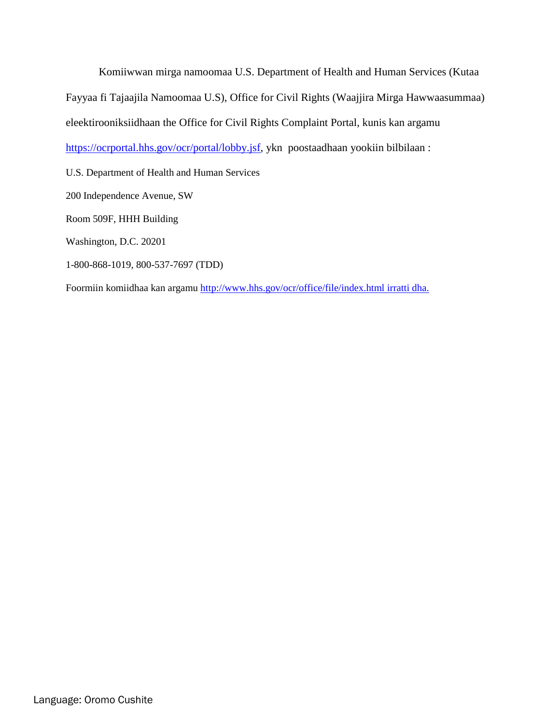Komiiwwan mirga namoomaa U.S. Department of Health and Human Services (Kutaa Fayyaa fi Tajaajila Namoomaa U.S), Office for Civil Rights (Waajjira Mirga Hawwaasummaa) eleektirooniksiidhaan the Office for Civil Rights Complaint Portal, kunis kan argamu [https://ocrportal.hhs.gov/ocr/portal/lobby.jsf,](https://ocrportal.hhs.gov/ocr/portal/lobby.jsf) ykn poostaadhaan yookiin bilbilaan :

U.S. Department of Health and Human Services

200 Independence Avenue, SW

Room 509F, HHH Building

Washington, D.C. 20201

1-800-868-1019, 800-537-7697 (TDD)

Foormiin komiidhaa kan argamu<http://www.hhs.gov/ocr/office/file/index.html> irratti dha.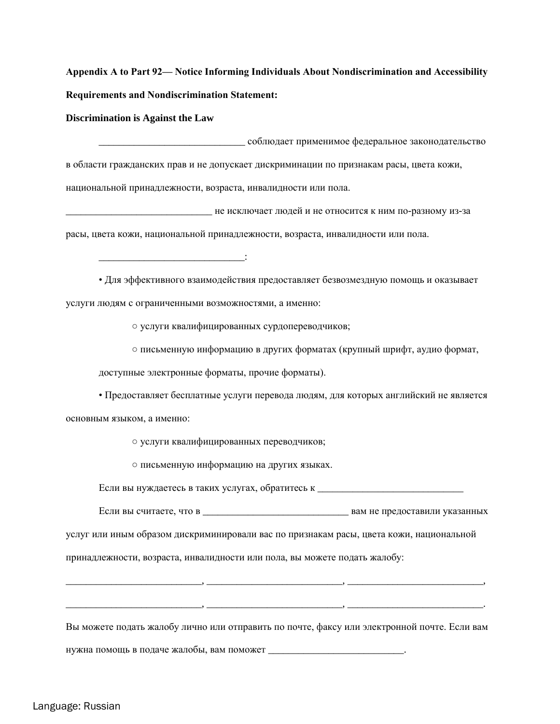**Discrimination is Against the Law** 

\_\_\_\_\_\_\_\_\_\_\_\_\_\_\_\_\_\_\_\_\_\_\_\_\_\_\_\_\_ соблюдает применимое федеральное законодательство в области гражданских прав и не допускает дискриминации по признакам расы, цвета кожи, национальной принадлежности, возраста, инвалидности или пола.

\_\_\_\_\_\_\_\_\_\_\_\_\_\_\_\_\_\_\_\_\_\_\_\_\_\_\_\_\_ не исключает людей и не относится к ним по-разному из-за расы, цвета кожи, национальной принадлежности, возраста, инвалидности или пола.

• Для эффективного взаимодействия предоставляет безвозмездную помощь и оказывает услуги людям с ограниченными возможностями, а именно:

○ услуги квалифицированных сурдопереводчиков;

○ письменную информацию в других форматах (крупный шрифт, аудио формат,

доступные электронные форматы, прочие форматы).

\_\_\_\_\_\_\_\_\_\_\_\_\_\_\_\_\_\_\_\_\_\_\_\_\_\_\_\_\_:

• Предоставляет бесплатные услуги перевода людям, для которых английский не является основным языком, а именно:

○ услуги квалифицированных переводчиков;

○ письменную информацию на других языках.

Если вы нуждаетесь в таких услугах, обратитесь к \_\_\_\_\_\_\_\_\_\_\_\_\_\_\_\_\_\_\_\_\_\_\_\_\_\_\_\_\_\_\_\_

Если вы считаете, что в  $\Box$  вам не предоставили указанных

услуг или иным образом дискриминировали вас по признакам расы, цвета кожи, национальной

принадлежности, возраста, инвалидности или пола, вы можете подать жалобу:

Вы можете подать жалобу лично или отправить по почте, факсу или электронной почте. Если вам

\_\_\_\_\_\_\_\_\_\_\_\_\_\_\_\_\_\_\_\_\_\_\_\_\_\_\_, \_\_\_\_\_\_\_\_\_\_\_\_\_\_\_\_\_\_\_\_\_\_\_\_\_\_\_, \_\_\_\_\_\_\_\_\_\_\_\_\_\_\_\_\_\_\_\_\_\_\_\_\_\_\_,

\_\_\_\_\_\_\_\_\_\_\_\_\_\_\_\_\_\_\_\_\_\_\_\_\_\_\_, \_\_\_\_\_\_\_\_\_\_\_\_\_\_\_\_\_\_\_\_\_\_\_\_\_\_\_, \_\_\_\_\_\_\_\_\_\_\_\_\_\_\_\_\_\_\_\_\_\_\_\_\_\_\_.

нужна помощь в подаче жалобы, вам поможет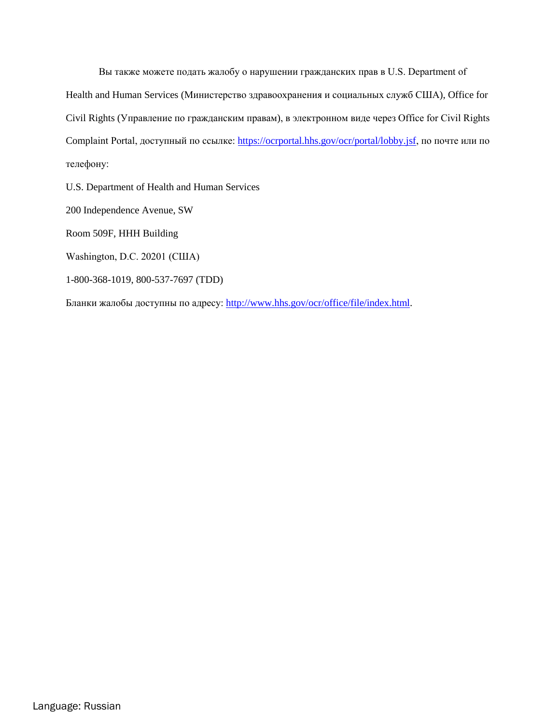Вы также можете подать жалобу о нарушении гражданских прав в U.S. Department of Health and Human Services (Министерство здравоохранения и социальных служб США), Office for Civil Rights (Управление по гражданским правам), в электронном виде через Office for Civil Rights Complaint Portal, доступный по ссылке: <https://ocrportal.hhs.gov/ocr/portal/lobby.jsf>, по почте или по телефону:

U.S. Department of Health and Human Services

200 Independence Avenue, SW

Room 509F, HHH Building

Washington, D.C. 20201 (США)

1-800-368-1019, 800-537-7697 (TDD)

Бланки жалобы доступны по адресу: [http://www.hhs.gov/ocr/office/file/index.html.](http://www.hhs.gov/ocr/office/file/index.html)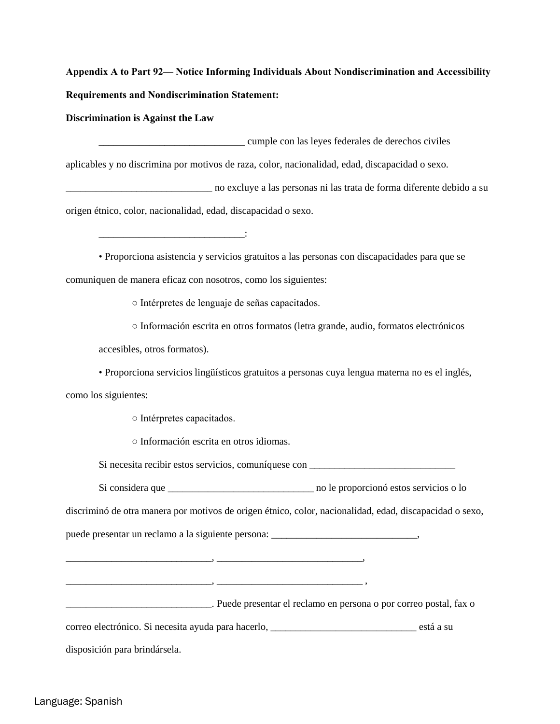**Discrimination is Against the Law** 

\_\_\_\_\_\_\_\_\_\_\_\_\_\_\_\_\_\_\_\_\_\_\_\_\_\_\_\_\_ cumple con las leyes federales de derechos civiles

aplicables y no discrimina por motivos de raza, color, nacionalidad, edad, discapacidad o sexo.

\_\_\_\_\_\_\_\_\_\_\_\_\_\_\_\_\_\_\_\_\_\_\_\_\_\_\_\_\_ no excluye a las personas ni las trata de forma diferente debido a su origen étnico, color, nacionalidad, edad, discapacidad o sexo.

• Proporciona asistencia y servicios gratuitos a las personas con discapacidades para que se comuniquen de manera eficaz con nosotros, como los siguientes:

○ Intérpretes de lenguaje de señas capacitados.

○ Información escrita en otros formatos (letra grande, audio, formatos electrónicos

accesibles, otros formatos).

• Proporciona servicios lingüísticos gratuitos a personas cuya lengua materna no es el inglés,

como los siguientes:

○ Intérpretes capacitados.

\_\_\_\_\_\_\_\_\_\_\_\_\_\_\_\_\_\_\_\_\_\_\_\_\_\_\_\_\_:

○ Información escrita en otros idiomas.

Si necesita recibir estos servicios, comuníquese con \_\_\_\_\_\_\_\_\_\_\_\_\_\_\_\_\_\_\_\_\_\_\_\_\_\_\_\_

Si considera que \_\_\_\_\_\_\_\_\_\_\_\_\_\_\_\_\_\_\_\_\_\_\_\_\_\_\_\_\_ no le proporcionó estos servicios o lo

discriminó de otra manera por motivos de origen étnico, color, nacionalidad, edad, discapacidad o sexo,

puede presentar un reclamo a la siguiente persona: \_\_\_\_\_\_\_\_\_\_\_\_\_\_\_\_\_\_\_\_\_\_\_\_\_\_\_\_\_,

\_\_\_\_\_\_\_\_\_\_\_\_\_\_\_\_\_\_\_\_\_\_\_\_\_\_\_\_\_, \_\_\_\_\_\_\_\_\_\_\_\_\_\_\_\_\_\_\_\_\_\_\_\_\_\_\_\_\_,

\_\_\_\_\_\_\_\_\_\_\_\_\_\_\_\_\_\_\_\_\_\_\_\_\_\_\_\_\_, \_\_\_\_\_\_\_\_\_\_\_\_\_\_\_\_\_\_\_\_\_\_\_\_\_\_\_\_\_ ,

\_\_\_\_\_\_\_\_\_\_\_\_\_\_\_\_\_\_\_\_\_\_\_\_\_\_\_\_\_. Puede presentar el reclamo en persona o por correo postal, fax o

correo electrónico. Si necesita ayuda para hacerlo, \_\_\_\_\_\_\_\_\_\_\_\_\_\_\_\_\_\_\_\_\_\_\_\_\_\_\_\_\_ está a su

disposición para brindársela.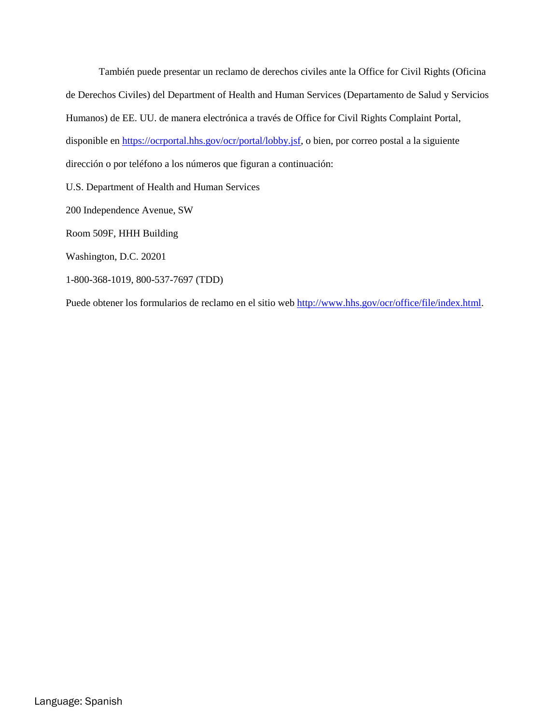También puede presentar un reclamo de derechos civiles ante la Office for Civil Rights (Oficina de Derechos Civiles) del Department of Health and Human Services (Departamento de Salud y Servicios Humanos) de EE. UU. de manera electrónica a través de Office for Civil Rights Complaint Portal, disponible e[n https://ocrportal.hhs.gov/ocr/portal/lobby.jsf,](https://ocrportal.hhs.gov/ocr/portal/lobby.jsf) o bien, por correo postal a la siguiente dirección o por teléfono a los números que figuran a continuación:

U.S. Department of Health and Human Services

200 Independence Avenue, SW

Room 509F, HHH Building

Washington, D.C. 20201

1-800-368-1019, 800-537-7697 (TDD)

Puede obtener los formularios de reclamo en el sitio web [http://www.hhs.gov/ocr/office/file/index.html.](http://www.hhs.gov/ocr/office/file/index.html)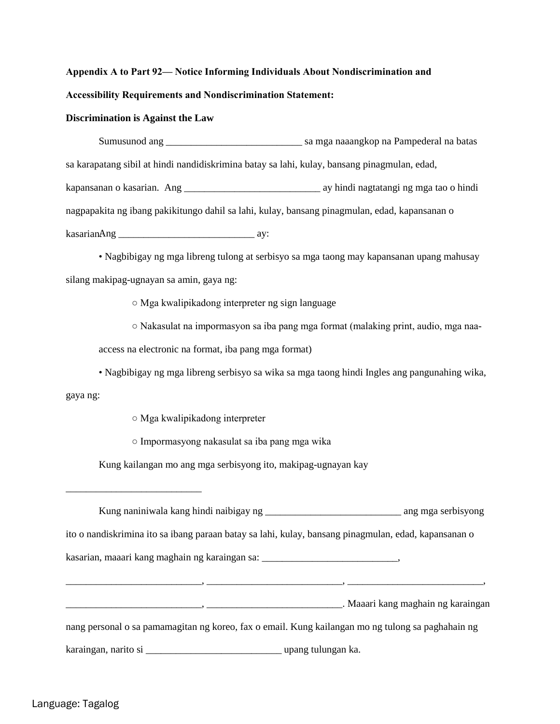### **Appendix A to Part 92— Notice Informing Individuals About Nondiscrimination and**

#### **Accessibility Requirements and Nondiscrimination Statement:**

#### **Discrimination is Against the Law**

Sumusunod ang \_\_\_\_\_\_\_\_\_\_\_\_\_\_\_\_\_\_\_\_\_\_\_\_\_\_\_ sa mga naaangkop na Pampederal na batas sa karapatang sibil at hindi nandidiskrimina batay sa lahi, kulay, bansang pinagmulan, edad, kapansanan o kasarian. Ang \_\_\_\_\_\_\_\_\_\_\_\_\_\_\_\_\_\_\_\_\_\_\_\_\_\_\_ ay hindi nagtatangi ng mga tao o hindi nagpapakita ng ibang pakikitungo dahil sa lahi, kulay, bansang pinagmulan, edad, kapansanan o kasarian. Ang \_\_\_\_\_\_\_\_\_\_\_\_\_\_\_\_\_\_\_\_\_\_\_\_\_\_\_ ay:

• Nagbibigay ng mga libreng tulong at serbisyo sa mga taong may kapansanan upang mahusay silang makipag-ugnayan sa amin, gaya ng:

○ Mga kwalipikadong interpreter ng sign language

○ Nakasulat na impormasyon sa iba pang mga format (malaking print, audio, mga naa-

access na electronic na format, iba pang mga format)

• Nagbibigay ng mga libreng serbisyo sa wika sa mga taong hindi Ingles ang pangunahing wika,

gaya ng:

\_\_\_\_\_\_\_\_\_\_\_\_\_\_\_\_\_\_\_\_\_\_\_\_\_\_\_

- Mga kwalipikadong interpreter
- Impormasyong nakasulat sa iba pang mga wika

Kung kailangan mo ang mga serbisyong ito, makipag-ugnayan kay

|                                                                                    | ito o nandiskrimina ito sa ibang paraan batay sa lahi, kulay, bansang pinagmulan, edad, kapansanan o |
|------------------------------------------------------------------------------------|------------------------------------------------------------------------------------------------------|
| kasarian, maaari kang maghain ng karaingan sa: __________________________________, |                                                                                                      |
|                                                                                    |                                                                                                      |
|                                                                                    |                                                                                                      |
|                                                                                    | nang personal o sa pamamagitan ng koreo, fax o email. Kung kailangan mo ng tulong sa paghahain ng    |
|                                                                                    |                                                                                                      |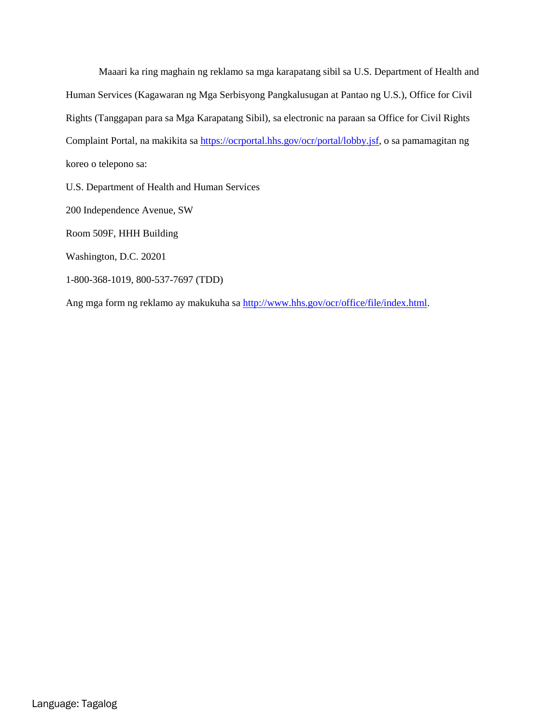Maaari ka ring maghain ng reklamo sa mga karapatang sibil sa U.S. Department of Health and Human Services (Kagawaran ng Mga Serbisyong Pangkalusugan at Pantao ng U.S.), Office for Civil Rights (Tanggapan para sa Mga Karapatang Sibil), sa electronic na paraan sa Office for Civil Rights Complaint Portal, na makikita sa [https://ocrportal.hhs.gov/ocr/portal/lobby.jsf,](https://ocrportal.hhs.gov/ocr/portal/lobby.jsf) o sa pamamagitan ng koreo o telepono sa:

U.S. Department of Health and Human Services

200 Independence Avenue, SW

Room 509F, HHH Building

Washington, D.C. 20201

1-800-368-1019, 800-537-7697 (TDD)

Ang mga form ng reklamo ay makukuha s[a http://www.hhs.gov/ocr/office/file/index.html.](http://www.hhs.gov/ocr/office/file/index.html)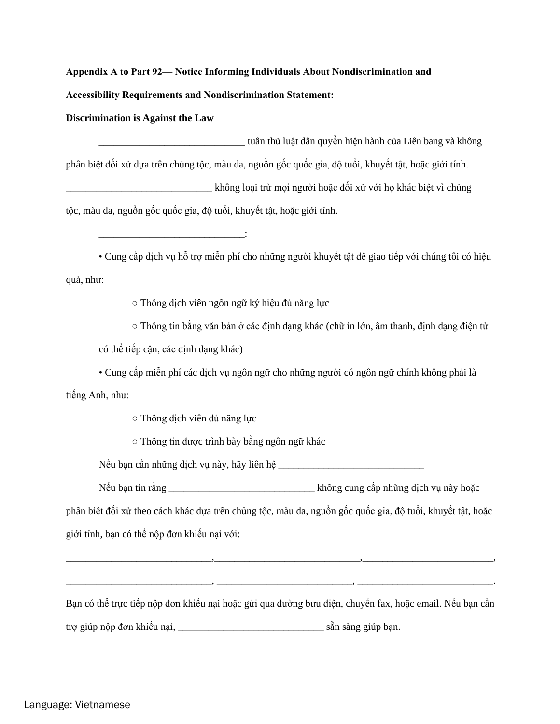**Discrimination is Against the Law** 

\_\_\_\_\_\_\_\_\_\_\_\_\_\_\_\_\_\_\_\_\_\_\_\_\_\_\_\_\_ tuân thủ luật dân quyền hiện hành của Liên bang và không phân biệt đối xử dựa trên chủng tộc, màu da, nguồn gốc quốc gia, độ tuổi, khuyết tật, hoặc giới tính. không loại trừ mọi người hoặc đối xử với họ khác biệt vì chủng tộc, màu da, nguồn gốc quốc gia, độ tuổi, khuyết tật, hoặc giới tính.

• Cung cấp dịch vụ hỗ trợ miễn phí cho những người khuyết tật để giao tiếp với chúng tôi có hiệu quả, như:

○ Thông dịch viên ngôn ngữ ký hiệu đủ năng lực

 $\circ$  Thông tin bằng văn bản ở các định dạng khác (chữ in lớn, âm thanh, định dạng điện tử

có thể tiếp cận, các định dạng khác)

• Cung cấp miễn phí các dịch vụ ngôn ngữ cho những người có ngôn ngữ chính không phải là tiếng Anh, như:

○ Thông dịch viên đủ năng lực

\_\_\_\_\_\_\_\_\_\_\_\_\_\_\_\_\_\_\_\_\_\_\_\_\_\_\_\_\_:

○ Thông tin được trình bày bằng ngôn ngữ khác

Nếu bạn cần những dịch vụ này, hãy liên hệ

Nếu bạn tin rằng \_\_\_\_\_\_\_\_\_\_\_\_\_\_\_\_\_\_\_\_\_\_\_\_\_\_\_\_\_ không cung cấp những dịch vụ này hoặc

phân biệt đối xử theo cách khác dựa trên chủng tộc, màu da, nguồn gốc quốc gia, độ tuổi, khuyết tật, hoặc giới tính, bạn có thể nộp đơn khiếu nại với:

\_\_\_\_\_\_\_\_\_\_\_\_\_\_\_\_\_\_\_\_\_\_\_\_\_\_\_\_\_,\_\_\_\_\_\_\_\_\_\_\_\_\_\_\_\_\_\_\_\_\_\_\_\_\_\_\_\_\_,\_\_\_\_\_\_\_\_\_\_\_\_\_\_\_\_\_\_\_\_\_\_\_\_\_\_,

Bạn có thể trực tiếp nộp đơn khiếu nại hoặc gửi qua đường bưu điện, chuyển fax, hoặc email. Nếu bạn cần trợ giúp nộp đơn khiếu nại,  $\tilde{\text{an}}$  sẵn sàng giúp ban.

 $\longrightarrow$  , and the contribution of the contribution of the contribution of the contribution of the contribution of the contribution of the contribution of the contribution of the contribution of the contribution of the contri